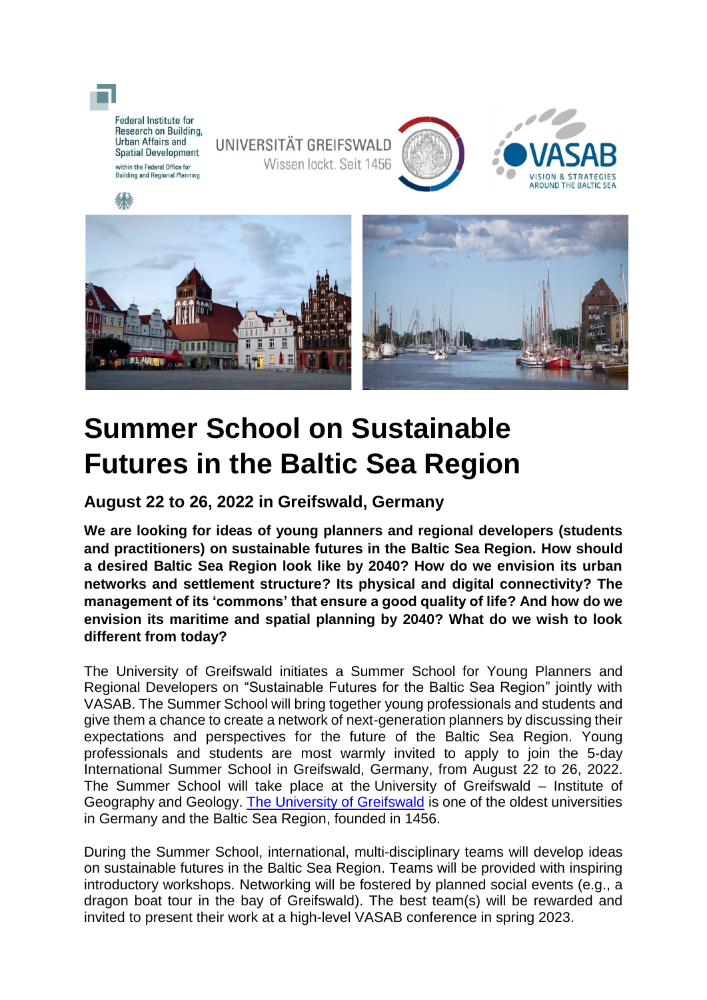

## **Summer School on Sustainable Futures in the Baltic Sea Region**

**August 22 to 26, 2022 in Greifswald, Germany**

**We are looking for ideas of young planners and regional developers (students and practitioners) on sustainable futures in the Baltic Sea Region. How should a desired Baltic Sea Region look like by 2040? How do we envision its urban networks and settlement structure? Its physical and digital connectivity? The management of its 'commons' that ensure a good quality of life? And how do we envision its maritime and spatial planning by 2040? What do we wish to look different from today?** 

The University of Greifswald initiates a Summer School for Young Planners and Regional Developers on "Sustainable Futures for the Baltic Sea Region" jointly with VASAB. The Summer School will bring together young professionals and students and give them a chance to create a network of next-generation planners by discussing their expectations and perspectives for the future of the Baltic Sea Region. Young professionals and students are most warmly invited to apply to join the 5-day International Summer School in Greifswald, Germany, from August 22 to 26, 2022. The Summer School will take place at the University of Greifswald – Institute of Geography and Geology. [The University of Greifswald](https://www.uni-greifswald.de/en/) is one of the oldest universities in Germany and the Baltic Sea Region, founded in 1456.

During the Summer School, international, multi-disciplinary teams will develop ideas on sustainable futures in the Baltic Sea Region. Teams will be provided with inspiring introductory workshops. Networking will be fostered by planned social events (e.g., a dragon boat tour in the bay of Greifswald). The best team(s) will be rewarded and invited to present their work at a high-level VASAB conference in spring 2023.